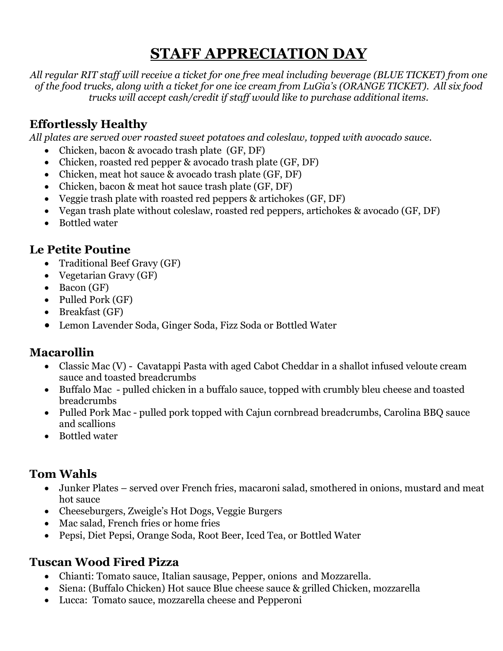# **STAFF APPRECIATION DAY**

*All regular RIT staff will receive a ticket for one free meal including beverage (BLUE TICKET) from one of the food trucks, along with a ticket for one ice cream from LuGia's (ORANGE TICKET). All six food trucks will accept cash/credit if staff would like to purchase additional items.*

## **Effortlessly Healthy**

*All plates are served over roasted sweet potatoes and coleslaw, topped with avocado sauce.*

- Chicken, bacon & avocado trash plate (GF, DF)
- Chicken, roasted red pepper & avocado trash plate (GF, DF)
- Chicken, meat hot sauce & avocado trash plate (GF, DF)
- Chicken, bacon & meat hot sauce trash plate (GF, DF)
- Veggie trash plate with roasted red peppers & artichokes (GF, DF)
- Vegan trash plate without coleslaw, roasted red peppers, artichokes & avocado (GF, DF)
- Bottled water

## **Le Petite Poutine**

- Traditional Beef Gravy (GF)
- Vegetarian Gravy (GF)
- Bacon (GF)
- Pulled Pork (GF)
- Breakfast (GF)
- Lemon Lavender Soda, Ginger Soda, Fizz Soda or Bottled Water

#### **Macarollin**

- Classic Mac (V) Cavatappi Pasta with aged Cabot Cheddar in a shallot infused veloute cream sauce and toasted breadcrumbs
- Buffalo Mac pulled chicken in a buffalo sauce, topped with crumbly bleu cheese and toasted breadcrumbs
- Pulled Pork Mac pulled pork topped with Cajun cornbread breadcrumbs, Carolina BBQ sauce and scallions
- Bottled water

## **Tom Wahls**

- Junker Plates served over French fries, macaroni salad, smothered in onions, mustard and meat hot sauce
- Cheeseburgers, Zweigle's Hot Dogs, Veggie Burgers
- Mac salad, French fries or home fries
- Pepsi, Diet Pepsi, Orange Soda, Root Beer, Iced Tea, or Bottled Water

#### **Tuscan Wood Fired Pizza**

- Chianti: Tomato sauce, Italian sausage, Pepper, onions and Mozzarella.
- Siena: (Buffalo Chicken) Hot sauce Blue cheese sauce & grilled Chicken, mozzarella
- Lucca: Tomato sauce, mozzarella cheese and Pepperoni